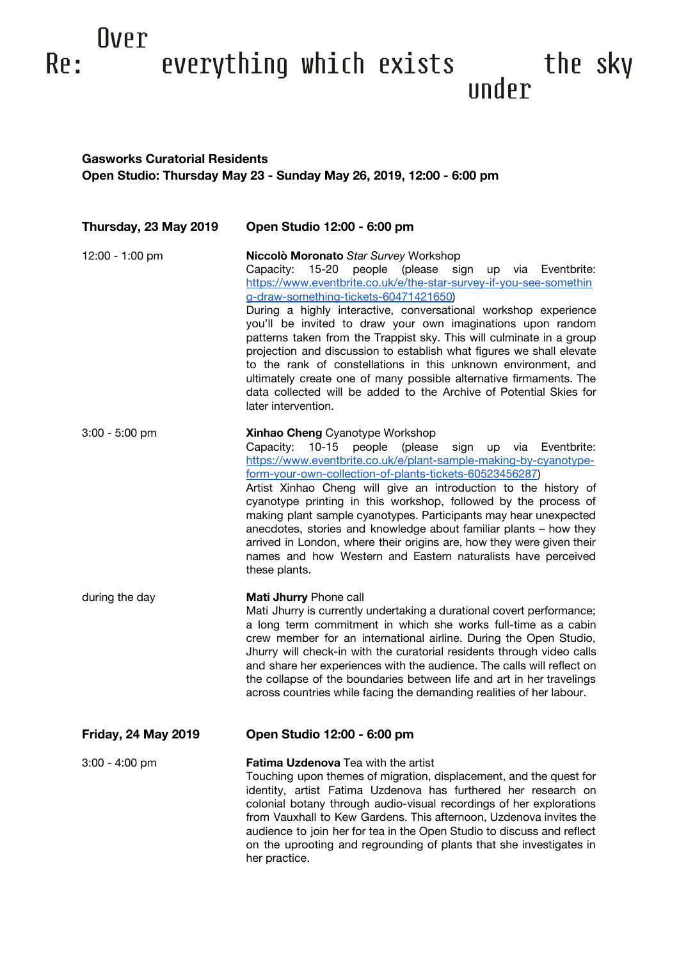## Over everything which exists under the sky Re:

## **Gasworks Curatorial Residents Open Studio: Thursday May 23 - Sunday May 26, 2019, 12:00 - 6:00 pm**

| Thursday, 23 May 2019      | Open Studio 12:00 - 6:00 pm                                                                                                                                                                                                                                                                                                                                                                                                                                                                                                                                                                                                                                                                                                                 |
|----------------------------|---------------------------------------------------------------------------------------------------------------------------------------------------------------------------------------------------------------------------------------------------------------------------------------------------------------------------------------------------------------------------------------------------------------------------------------------------------------------------------------------------------------------------------------------------------------------------------------------------------------------------------------------------------------------------------------------------------------------------------------------|
| 12:00 - 1:00 pm            | Niccolò Moronato Star Survey Workshop<br>people (please sign up via Eventbrite:<br>Capacity:<br>15-20<br>https://www.eventbrite.co.uk/e/the-star-survey-if-you-see-somethin<br>g-draw-something-tickets-60471421650)<br>During a highly interactive, conversational workshop experience<br>you'll be invited to draw your own imaginations upon random<br>patterns taken from the Trappist sky. This will culminate in a group<br>projection and discussion to establish what figures we shall elevate<br>to the rank of constellations in this unknown environment, and<br>ultimately create one of many possible alternative firmaments. The<br>data collected will be added to the Archive of Potential Skies for<br>later intervention. |
| $3:00 - 5:00$ pm           | <b>Xinhao Cheng</b> Cyanotype Workshop<br>(please<br>Capacity:<br>$10 - 15$<br>people<br>sign up via Eventbrite:<br>https://www.eventbrite.co.uk/e/plant-sample-making-by-cyanotype-<br>form-your-own-collection-of-plants-tickets-60523456287)<br>Artist Xinhao Cheng will give an introduction to the history of<br>cyanotype printing in this workshop, followed by the process of<br>making plant sample cyanotypes. Participants may hear unexpected<br>anecdotes, stories and knowledge about familiar plants - how they<br>arrived in London, where their origins are, how they were given their<br>names and how Western and Eastern naturalists have perceived<br>these plants.                                                    |
| during the day             | Mati Jhurry Phone call<br>Mati Jhurry is currently undertaking a durational covert performance;<br>a long term commitment in which she works full-time as a cabin<br>crew member for an international airline. During the Open Studio,<br>Jhurry will check-in with the curatorial residents through video calls<br>and share her experiences with the audience. The calls will reflect on<br>the collapse of the boundaries between life and art in her travelings<br>across countries while facing the demanding realities of her labour.                                                                                                                                                                                                 |
| <b>Friday, 24 May 2019</b> | Open Studio 12:00 - 6:00 pm                                                                                                                                                                                                                                                                                                                                                                                                                                                                                                                                                                                                                                                                                                                 |
| $3:00 - 4:00$ pm           | Fatima Uzdenova Tea with the artist<br>Touching upon themes of migration, displacement, and the quest for<br>identity, artist Fatima Uzdenova has furthered her research on<br>colonial botany through audio-visual recordings of her explorations<br>from Vauxhall to Kew Gardens. This afternoon, Uzdenova invites the<br>audience to join her for tea in the Open Studio to discuss and reflect<br>on the uprooting and regrounding of plants that she investigates in<br>her practice.                                                                                                                                                                                                                                                  |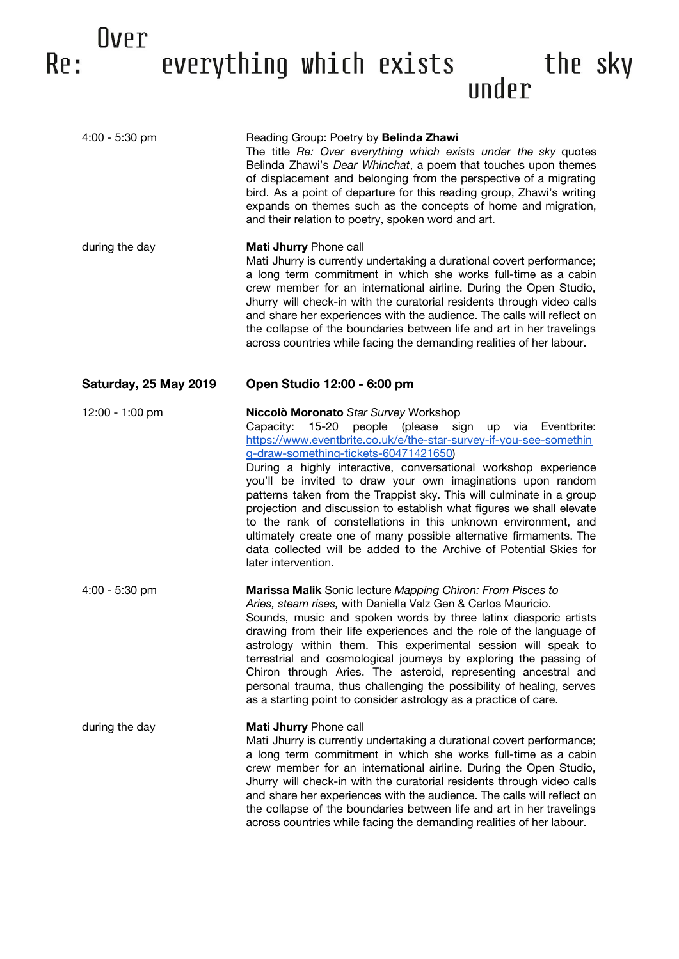## Over everything which exists under the sky Re:

| $4:00 - 5:30$ pm      | Reading Group: Poetry by Belinda Zhawi<br>The title Re: Over everything which exists under the sky quotes<br>Belinda Zhawi's Dear Whinchat, a poem that touches upon themes<br>of displacement and belonging from the perspective of a migrating<br>bird. As a point of departure for this reading group, Zhawi's writing<br>expands on themes such as the concepts of home and migration,<br>and their relation to poetry, spoken word and art.                                                                                                                                                                                                                                                                                                      |
|-----------------------|-------------------------------------------------------------------------------------------------------------------------------------------------------------------------------------------------------------------------------------------------------------------------------------------------------------------------------------------------------------------------------------------------------------------------------------------------------------------------------------------------------------------------------------------------------------------------------------------------------------------------------------------------------------------------------------------------------------------------------------------------------|
| during the day        | Mati Jhurry Phone call<br>Mati Jhurry is currently undertaking a durational covert performance;<br>a long term commitment in which she works full-time as a cabin<br>crew member for an international airline. During the Open Studio,<br>Jhurry will check-in with the curatorial residents through video calls<br>and share her experiences with the audience. The calls will reflect on<br>the collapse of the boundaries between life and art in her travelings<br>across countries while facing the demanding realities of her labour.                                                                                                                                                                                                           |
| Saturday, 25 May 2019 | Open Studio 12:00 - 6:00 pm                                                                                                                                                                                                                                                                                                                                                                                                                                                                                                                                                                                                                                                                                                                           |
| 12:00 - 1:00 pm       | Niccolò Moronato Star Survey Workshop<br>$15 - 20$<br>people (please sign<br>Capacity:<br>up via<br>Eventbrite:<br>https://www.eventbrite.co.uk/e/the-star-survey-if-you-see-somethin<br>g-draw-something-tickets-60471421650)<br>During a highly interactive, conversational workshop experience<br>you'll be invited to draw your own imaginations upon random<br>patterns taken from the Trappist sky. This will culminate in a group<br>projection and discussion to establish what figures we shall elevate<br>to the rank of constellations in this unknown environment, and<br>ultimately create one of many possible alternative firmaments. The<br>data collected will be added to the Archive of Potential Skies for<br>later intervention. |
| $4:00 - 5:30$ pm      | <b>Marissa Malik</b> Sonic lecture Mapping Chiron: From Pisces to<br>Aries, steam rises, with Daniella Valz Gen & Carlos Mauricio.<br>Sounds, music and spoken words by three latinx diasporic artists<br>drawing from their life experiences and the role of the language of<br>astrology within them. This experimental session will speak to<br>terrestrial and cosmological journeys by exploring the passing of<br>Chiron through Aries. The asteroid, representing ancestral and<br>personal trauma, thus challenging the possibility of healing, serves<br>as a starting point to consider astrology as a practice of care.                                                                                                                    |
| during the day        | Mati Jhurry Phone call<br>Mati Jhurry is currently undertaking a durational covert performance;<br>a long term commitment in which she works full-time as a cabin<br>crew member for an international airline. During the Open Studio,<br>Jhurry will check-in with the curatorial residents through video calls<br>and share her experiences with the audience. The calls will reflect on<br>the collapse of the boundaries between life and art in her travelings<br>across countries while facing the demanding realities of her labour.                                                                                                                                                                                                           |